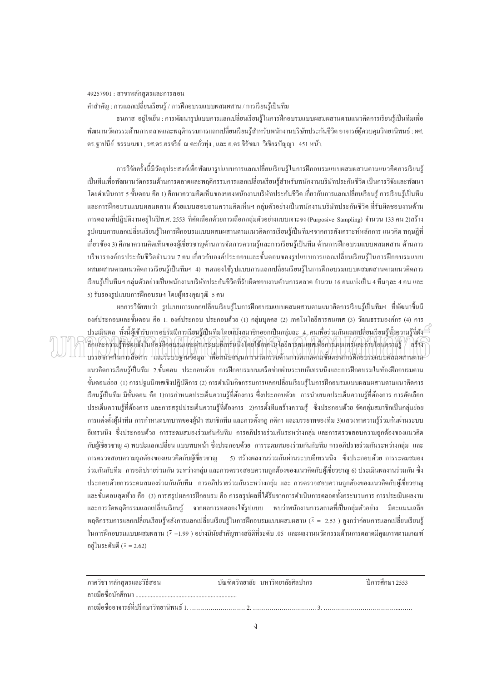## $49257901$  : สาขาหลักสูตรและการสอน

คำสำคัญ : การแลกเปลี่ยนเรียนรู้ / การฝึกอบรมแบบผสมผสาน / การเรียนรู้เป็นทีม

ิธนภาส อยู่ใจเย็น : การพัฒนารูปแบบการแลกเปลี่ยนเรียนรู้ในการฝึกอบรมแบบผสมผสานตามแนวคิดการเรียนรู้เป็นทีมเพื่อ ้พัฒนานวัตกรรมด้านการตลาดและพฤติกรรมการแลกเปลี่ยนเรียนรู้สำหรับพนักงานบริษัทประกันชีวิต อาจารย์ผู้ควบคุมวิทยานิพนธ์∶ผศ. คร.ฐาปนี้ย์ ธรรมเมธา , รศ.คร.อรจรีย์ ณ ตะกั่วทุ่ง , และ อ.คร.จิรัชฌา วิเชียรปัญญา. 451 หน้า.

การวิจัยครั้งนี้มีวัตถุประสงค์เพื่อพัฒนารูปแบบการแลกเปลี่ยนเรียนรู้ในการฝึกอบรมแบบผสมผสานตามแนวคิดการเรียนรู้ เป็นทีมเพื่อพัฒนานวัตกรรมด้านการตลาดและพฤติกรรมการแลกเปลี่ยนเรียนรู้สำหรับพนักงานบริษัทประกันชีวิต เป็นการวิจัยและพัฒนา ºÉ โดยดำเนินการ 5 ขั้นตอน คือ 1) ศึกษาความคิดเห็นของของพนักงานบริษัทประกันชีวิต เกี่ยวกับการแลกเปลี่ยนเรียนรู้ การเรียนรู้เป็นทีม และการฝึกอบรมแบบผสมผสาน ด้วยแบบสอบถามความกิดเห็นฯ กลุ่มตัวอย่างเป็นพนักงานบริษัทประกันชีวิต ที่รับผิดชอบงานด้าน ำกรตลาดที่ปฏิบัติงานอยู่ในปีพ.ศ. 2553 ที่กัดเลือกด้วยการเลือกกลุ่มตัวอย่างแบบเจาะจง (Purposive Sampling) จำนวน 133 กน 2)สร้าง รูปแบบการแลกเปลี่ยนเรียนร้ในการฝึกอบรมแบบผสมผสานตามแนวคิดการเรียนร้เป็นทีมฯจากการสังเคราะห์หลักการ แนวคิด ทฤษฎีที่ ้เกี่ยวข้อง 3) ศึกษาความคิดเห็นของผ้เชี่ยวชาญด้านการจัดการความร้และการเรียนร้เป็นทีม ด้านการฝึกอบรมแบบผสมผสาน ด้านการ ู้ บริหารองค์กรประกันชีวิตจำนวน 7 คน เกี่ยวกับองค์ประกอบและขั้นตอนของรูปแบบการแลกเปลี่ยนเรียนรู้ในการฝึกอบรมแบบ ่ ผสมผสานตามแนวคิดการเรียนรู้เป็นทีมฯ 4) ทดลองใช้รูปแบบการแลกเปลี่ยนเรียนรู้ในการฝึกอบรมแบบผสมผสานตามแนวคิดการ ้เรียนร้เป็นทีมฯ กล่มตัวอย่างเป็นพนักงานบริษัทประกันชีวิตที่รับผิดชอบงานด้านการตลาด จำนวน 16 กนแบ่งเป็น 4 ทีมๆละ 4 กน และ 5) รับรองรูปแบบการฝึกอบรมฯ โดยผู้ทรงคุณวุฒิ 5 คน

้ ผลการวิจัยพบว่า รูปแบบการแลกเปลี่ยนเรียนรู้ในการฝึกอบรมแบบผสมผสานตามแนวคิดการเรียนรู้เป็นทีมฯ ที่พัฒนาขึ้นมี องค์ประกอบและขั้นตอน คือ 1. องค์ประกอบ ประกอบด้วย (1) กลุ่มบุคคล (2) เทคโนโลฮีสารสนเทศ (3) วัฒนธรรมองค์กร (4) การ ประเมินผล ทั้งนี้ผู้เข้ารับการอปรัมมีการเรียนรู้เป็นทีมโดยแ<mark>บ</mark>งสมาชิกออกเป็นกลุ่มละ 4 คนเพื่อร่วมกันแลกเปลี่ยนเรียนรู้ทั้งความรู้ที่ฝัง ลึกและความรู้ที่ชัดแจ้งในห้องฝึกอบรมและผ่านระบบอีเทร์นนิงโดยใช้เทคโนโลยีสารสนเทศเพื่อการเผยแพร่และถ่ายโอนความรู้ / สร้าง บรรยากาศในการสื่อสาร และระบบฐานข้อมูล เพื่อสนับสนุนการนวัตกรรมด้านการตลาดตามขั้นตอนการฝึกอบรมแบบผสมผสานตาม ºÉ แนวคิดการเรียนรู้เป็นทีม 2.ขั้นตอน ประกอบด้วย การฝึกอบรมบนเครือข่ายผ่านระบบอีเทรนนิงและการฝึกอบรมในห้องฝึกอบรมตาม ขั้นตอนย่อย (1) การปฐมนิเทศเชิงปฏิบัติการ (2) การดำเนินกิจกรรมการแลกเปลี่ยนเรียนรู้ในการฝึกอบรมแบบผสมผสานตามแนวคิดการ เรียนรู้เป็นทีม มีขั้นตอน คือ 1)การกำหนดประเด็นความรู้ที่ต้องการ ซึ่งประกอบด้วย การนำเสนอประเด็นความรู้ที่ต้องการ การคัดเลือก ประเด็นความรู้ที่ต้องการ และการสรุปประเด็นความรู้ที่ต้องการ 2)การตั้งทีมสร้างความรู้ ซึ่งประกอบด้วย จัดกลุ่มสมาชิกเป็นกลุ่มย่อย การแต่งตั้งผู้นำทีม การกำหนดบทบาทของผู้นำ สมาชิกทีม และการตั้งกฎ กติกา และมรรยาทของทีม 3)แสวงหาความรู้ร่วมกันผ่านระบบ ้ อีเทรนนิง ซึ่งประกอบค้วย การระคมสมองร่วมกันกับทีม การอภิปรายร่วมกันระหว่างกล่ม และการตรวจสอบความถกค้องของแนวคิค ้กับผู้เชี่ยวชาญ 4) พบปะแลกเปลี่ยน แบบพบหน้า ซึ่งประกอบด้วย การระดมสมองร่วมกันกับทีม การอภิปรายร่วมกันระหว่างกลุ่ม และ  $\;$ การตรวจสอบความถูกต้องของแนวคิดกับผู้เชี่ยวชาญ 5) สร้างผลงานร่วมกันผ่านระบบอีเทรนนิง ซึ่งประกอบด้วย การระดมสมอง ู ร่วมกันกับทีม การอภิปรายร่วมกัน ระหว่างกลุ่ม และการตรวจสอบความถูกต้องของแนวคิดกับผู้เชี่ยวชาญ 6) ประเมินผลงานร่วมกัน ซึ่ง ู ประกอบค้วยการระดมสมองร่วมกันกับทีม การอภิปรายร่วมกันระหว่างกลุ่ม และ การตรวจสอบความถูกต้องของแนวคิดกับผู้เชี่ยวชาญ และขั้นตอนสุดท้าย คือ (3) การสรุปผลการฝึกอบรม คือ การสรุปผลที่ได้รับจากการดำเนินการตลอดทั้งกระบวนการ การประเมินผลงาน ้ และการวัคพฤติกรรมแลกเปลี่ยนเรียนรู้ จากผลการทดลองใช้รูปแบบ พบว่าพนักงานการตลาดที่เป็นกลุ่มตัวอย่าง มีคะแนนเฉลี่ย  $^{\,}$ พฤติกรรมการแลกเปลี่ยนเรียนรู้หลังการแลกเปลี่ยนเรียนรู้ในการฝึกอบรมแบบผสมผสาน ( $^{\,\overline{\chi}}=2.53$  ) สูงกว่าก่อนการแลกเปลี่ยนเรียนรู้ <u>ในการฝึกอบรมแบบผสมผสาน ( $\bar{x}$  =1.99 ) อย่างมีนัยสำคัญทางสถิติที่ระคับ .05 และผลงานนวัตกรรมด้านการตลาดมีคุณภาพตามเกณฑ์</u> ือย่ในระดับดี ( $\bar{x} = 2.62$ )

| ภาควิชา หลักสตรและวิธีสอน | ำเันฑิตวิทยาลัย มหาวิทยาลัยศิลปากร | ้าไการศึกษา 2553 |
|---------------------------|------------------------------------|------------------|
|                           |                                    |                  |
|                           |                                    |                  |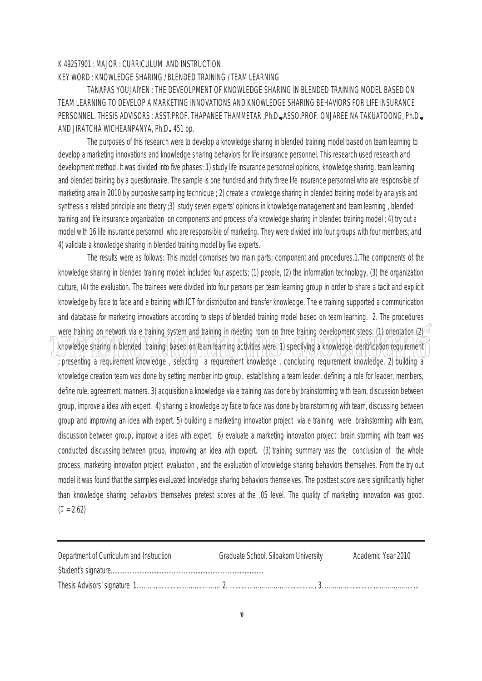## K 49257901 : MAJOR : CURRICULUM AND INSTRUCTION

## KEY WORD : KNOWLEDGE SHARING / BLENDED TRAINING / TEAM LEARNING

 TANAPAS YOUJAIYEN : THE DEVEOLPMENT OF KNOWLEDGE SHARING IN BLENDED TRAINING MODEL BASED ON TEAM LEARNING TO DEVELOP A MARKETING INNOVATIONS AND KNOWLEDGE SHARING BEHAVIORS FOR LIFE INSURANCE PERSONNEL. THESIS ADVISORS : ASST.PROF. THAPANEE THAMMETAR ,Ph.D**.,** ASSO.PROF. ONJAREE NA TAKUATOONG, Ph.D**.,** AND JIRATCHA WICHEANPANYA, Ph.D**.** 451 pp.

The purposes of this research were to develop a knowledge sharing in blended training model based on team learning to develop a marketing innovations and knowledge sharing behaviors for life insurance personnel. This research used research and development method. It was divided into five phases: 1) study life insurance personnel opinions, knowledge sharing, team learning and blended training by a questionnaire. The sample is one hundred and thirty three life insurance personnel who are responsible of marketing area in 2010 by purposive sampling technique ; 2) create a knowledge sharing in blended training model by analysis and synthesis a related principle and theory ;3) study seven experts' opinions in knowledge management and team learning , blended training and life insurance organization on components and process of a knowledge sharing in blended training model ; 4) try out a model with 16 life insurance personnel who are responsible of marketing. They were divided into four groups with four members; and 4) validate a knowledge sharing in blended training model by five experts.

The results were as follows: This model comprises two main parts: component and procedures.1.The components of the knowledge sharing in blended training model: included four aspects; (1) people, (2) the information technology, (3) the organization culture, (4) the evaluation. The trainees were divided into four persons per team learning group in order to share a tacit and explicit knowledge by face to face and e training with ICT for distribution and transfer knowledge. The e training supported a communication and database for marketing innovations according to steps of blended training model based on team learning. 2. The procedures were training on network via e training system and training in meeting room on three training development steps: (1) orientation  $(2)$ knowledge sharing in blended training based on team tearning activities were: 1) specifying a knowledge identification requirement ; presenting a requirement knowledge , selecting a requirement knowledge , concluding requirement knowledge. 2) building a knowledge creation team was done by setting member into group, establishing a team leader, defining a role for leader, members, define rule, agreement, manners. 3) acquisition a knowledge via e training was done by brainstorming with team, discussion between group, improve a idea with expert. 4) sharing a knowledge by face to face was done by brainstorming with team, discussing between group and improving an idea with expert. 5) building a marketing innovation project via e training were brainstorming with team, discussion between group, improve a idea with expert. 6) evaluate a marketing innovation project brain storming with team was conducted discussing between group, improving an idea with expert. (3) training summary was the conclusion of the whole process, marketing innovation project evaluation , and the evaluation of knowledge sharing behaviors themselves. From the try out model it was found that the samples evaluated knowledge sharing behaviors themselves. The posttest score were significantly higher than knowledge sharing behaviors themselves pretest scores at the .05 level. The quality of marketing innovation was good.  $(x = 2.62)$ 

| Department of Curriculum and Instruction | Graduate School, Silpakorn University | Academic Year 2010 |
|------------------------------------------|---------------------------------------|--------------------|
|                                          |                                       |                    |
|                                          |                                       |                    |